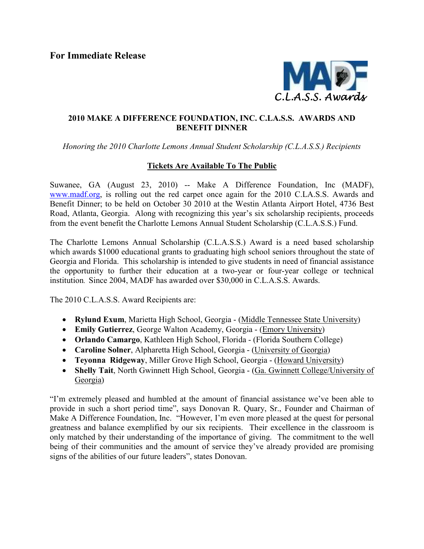For Immediate Release



## 2010 MAKE A DIFFERENCE FOUNDATION, INC. C.LA.S.S. AWARDS AND BENEFIT DINNER

Honoring the 2010 Charlotte Lemons Annual Student Scholarship (C.L.A.S.S.) Recipients

## Tickets Are Available To The Public

Suwanee, GA (August 23, 2010) -- Make A Difference Foundation, Inc (MADF), www.madf.org, is rolling out the red carpet once again for the 2010 C.LA.S.S. Awards and Benefit Dinner; to be held on October 30 2010 at the Westin Atlanta Airport Hotel, 4736 Best Road, Atlanta, Georgia. Along with recognizing this year's six scholarship recipients, proceeds from the event benefit the Charlotte Lemons Annual Student Scholarship (C.L.A.S.S.) Fund.

The Charlotte Lemons Annual Scholarship (C.L.A.S.S.) Award is a need based scholarship which awards \$1000 educational grants to graduating high school seniors throughout the state of Georgia and Florida. This scholarship is intended to give students in need of financial assistance the opportunity to further their education at a two-year or four-year college or technical institution. Since 2004, MADF has awarded over \$30,000 in C.L.A.S.S. Awards.

The 2010 C.L.A.S.S. Award Recipients are:

- Rylund Exum, Marietta High School, Georgia (Middle Tennessee State University)
- Emily Gutierrez, George Walton Academy, Georgia (Emory University)
- Orlando Camargo, Kathleen High School, Florida (Florida Southern College)
- Caroline Solner, Alpharetta High School, Georgia (University of Georgia)
- Teyonna Ridgeway, Miller Grove High School, Georgia (Howard University)
- Shelly Tait, North Gwinnett High School, Georgia (Ga. Gwinnett College/University of Georgia)

"I'm extremely pleased and humbled at the amount of financial assistance we've been able to provide in such a short period time", says Donovan R. Quary, Sr., Founder and Chairman of Make A Difference Foundation, Inc. "However, I'm even more pleased at the quest for personal greatness and balance exemplified by our six recipients. Their excellence in the classroom is only matched by their understanding of the importance of giving. The commitment to the well being of their communities and the amount of service they've already provided are promising signs of the abilities of our future leaders", states Donovan.